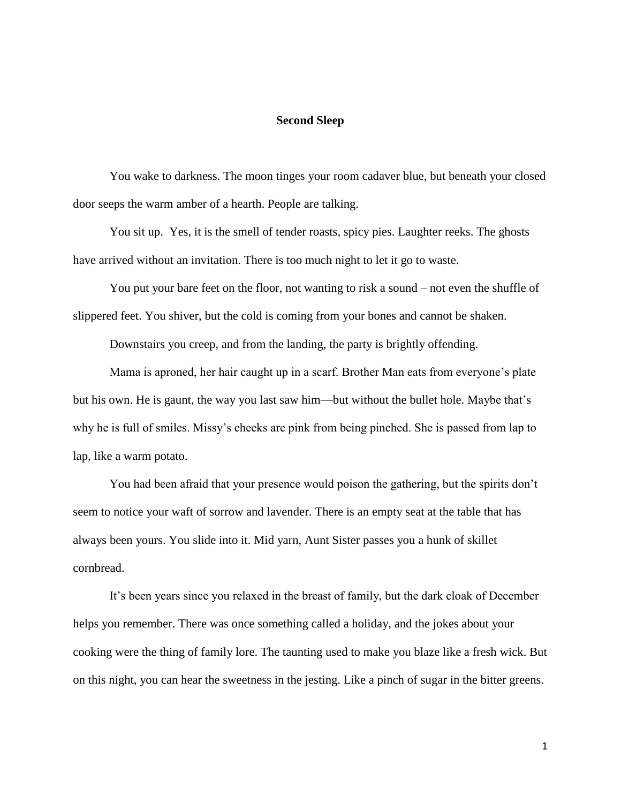## **Second Sleep**

You wake to darkness. The moon tinges your room cadaver blue, but beneath your closed door seeps the warm amber of a hearth. People are talking.

You sit up. Yes, it is the smell of tender roasts, spicy pies. Laughter reeks. The ghosts have arrived without an invitation. There is too much night to let it go to waste.

You put your bare feet on the floor, not wanting to risk a sound – not even the shuffle of slippered feet. You shiver, but the cold is coming from your bones and cannot be shaken.

Downstairs you creep, and from the landing, the party is brightly offending.

Mama is aproned, her hair caught up in a scarf. Brother Man eats from everyone's plate but his own. He is gaunt, the way you last saw him—but without the bullet hole. Maybe that's why he is full of smiles. Missy's cheeks are pink from being pinched. She is passed from lap to lap, like a warm potato.

You had been afraid that your presence would poison the gathering, but the spirits don't seem to notice your waft of sorrow and lavender. There is an empty seat at the table that has always been yours. You slide into it. Mid yarn, Aunt Sister passes you a hunk of skillet cornbread.

It's been years since you relaxed in the breast of family, but the dark cloak of December helps you remember. There was once something called a holiday, and the jokes about your cooking were the thing of family lore. The taunting used to make you blaze like a fresh wick. But on this night, you can hear the sweetness in the jesting. Like a pinch of sugar in the bitter greens.